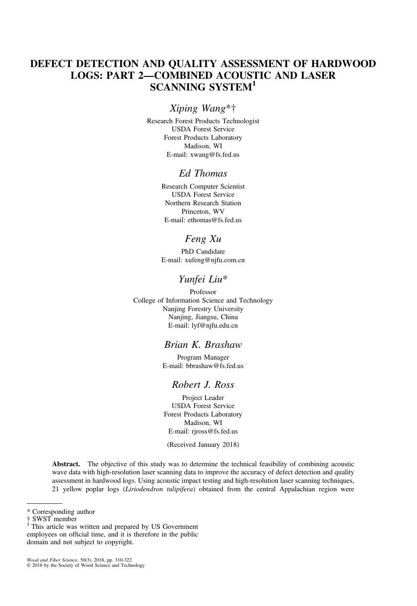# DEFECT DETECTION AND QUALITY ASSESSMENT OF HARDWOOD LOGS: PART 2—COMBINED ACOUSTIC AND LASER SCANNING SYSTEM<sup>1</sup>

# Xiping Wang\*†

Research Forest Products Technologist USDA Forest Service Forest Products Laboratory Madison, WI E-mail: [xwang@fs.fed.us](mailto:xwang@fs.fed.us)

# Ed Thomas

Research Computer Scientist USDA Forest Service Northern Research Station Princeton, WV E-mail: [ethomas@fs.fed.us](mailto:ethomas@fs.fed.us)

# Feng Xu

PhD Candidate E-mail: [xufeng@njfu.com.cn](mailto:xufeng@njfu.com.cn)

## Yunfei Liu\*

Professor College of Information Science and Technology Nanjing Forestry University Nanjing, Jiangsu, China E-mail: [lyf@njfu.edu.cn](mailto:lyf@njfu.edu.cn)

# Brian K. Brashaw

Program Manager E-mail: [bbrashaw@fs.fed.us](mailto:bbrashaw@fs.fed.us)

# Robert J. Ross

Project Leader USDA Forest Service Forest Products Laboratory Madison, WI E-mail: [rjross@fs.fed.us](mailto:rjross@fs.fed.us)

(Received January 2018)

Abstract. The objective of this study was to determine the technical feasibility of combining acoustic wave data with high-resolution laser scanning data to improve the accuracy of defect detection and quality assessment in hardwood logs. Using acoustic impact testing and high-resolution laser scanning techniques, 21 yellow poplar logs (Liriodendron tulipifera) obtained from the central Appalachian region were

Wood and Fiber Science, 50(3), 2018, pp. 310-322 © 2018 by the Society of Wood Science and Technology

<sup>\*</sup> Corresponding author

 $1$ <sup>1</sup> This article was written and prepared by US Government employees on official time, and it is therefore in the public domain and not subject to copyright.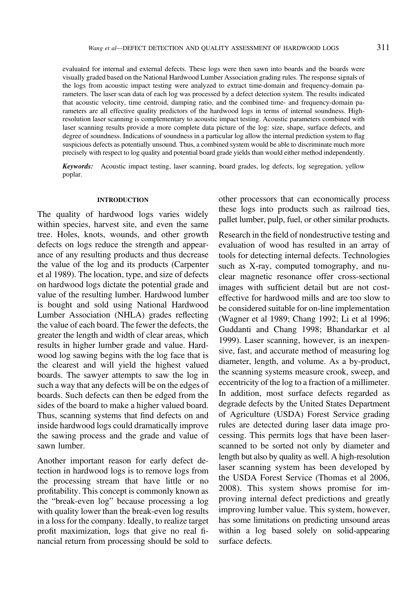evaluated for internal and external defects. These logs were then sawn into boards and the boards were visually graded based on the National Hardwood Lumber Association grading rules. The response signals of the logs from acoustic impact testing were analyzed to extract time-domain and frequency-domain parameters. The laser scan data of each log was processed by a defect detection system. The results indicated that acoustic velocity, time centroid, damping ratio, and the combined time- and frequency-domain parameters are all effective quality predictors of the hardwood logs in terms of internal soundness. Highresolution laser scanning is complementary to acoustic impact testing. Acoustic parameters combined with laser scanning results provide a more complete data picture of the log: size, shape, surface defects, and degree of soundness. Indications of soundness in a particular log allow the internal prediction system to flag suspicious defects as potentially unsound. Thus, a combined system would be able to discriminate much more precisely with respect to log quality and potential board grade yields than would either method independently.

Keywords: Acoustic impact testing, laser scanning, board grades, log defects, log segregation, yellow poplar.

#### INTRODUCTION

The quality of hardwood logs varies widely within species, harvest site, and even the same tree. Holes, knots, wounds, and other growth defects on logs reduce the strength and appearance of any resulting products and thus decrease the value of the log and its products ([Carpenter](#page-11-0) et al [1989\)](#page-11-0). The location, type, and size of defects on hardwood logs dictate the potential grade and value of the resulting lumber. Hardwood lumber is bought and sold using National Hardwood Lumber Association (NHLA) grades reflecting the value of each board. The fewer the defects, the greater the length and width of clear areas, which results in higher lumber grade and value. Hardwood log sawing begins with the log face that is the clearest and will yield the highest valued boards. The sawyer attempts to saw the log in such a way that any defects will be on the edges of boards. Such defects can then be edged from the sides of the board to make a higher valued board. Thus, scanning systems that find defects on and inside hardwood logs could dramatically improve the sawing process and the grade and value of sawn lumber.

Another important reason for early defect detection in hardwood logs is to remove logs from the processing stream that have little or no profitability. This concept is commonly known as the "break-even log" because processing a log with quality lower than the break-even log results in a loss for the company. Ideally, to realize target profit maximization, logs that give no real financial return from processing should be sold to other processors that can economically process these logs into products such as railroad ties, pallet lumber, pulp, fuel, or other similar products.

Research in the field of nondestructive testing and evaluation of wood has resulted in an array of tools for detecting internal defects. Technologies such as X-ray, computed tomography, and nuclear magnetic resonance offer cross-sectional images with sufficient detail but are not costeffective for hardwood mills and are too slow to be considered suitable for on-line implementation ([Wagner](#page-12-0) et al 1989; [Chang](#page-11-0) 1992; Li et al [1996;](#page-11-0) [Guddanti](#page-11-0) and Chang 1998; [Bhandarkar](#page-11-0) et al [1999](#page-11-0)). Laser scanning, however, is an inexpensive, fast, and accurate method of measuring log diameter, length, and volume. As a by-product, the scanning systems measure crook, sweep, and eccentricity of the log to a fraction of a millimeter. In addition, most surface defects regarded as degrade defects by the United States Department of Agriculture (USDA) Forest Service grading rules are detected during laser data image processing. This permits logs that have been laserscanned to be sorted not only by diameter and length but also by quality as well. A high-resolution laser scanning system has been developed by the USDA Forest Service ([Thomas](#page-11-0) et al 2006, [2008\)](#page-11-0). This system shows promise for improving internal defect predictions and greatly improving lumber value. This system, however, has some limitations on predicting unsound areas within a log based solely on solid-appearing surface defects.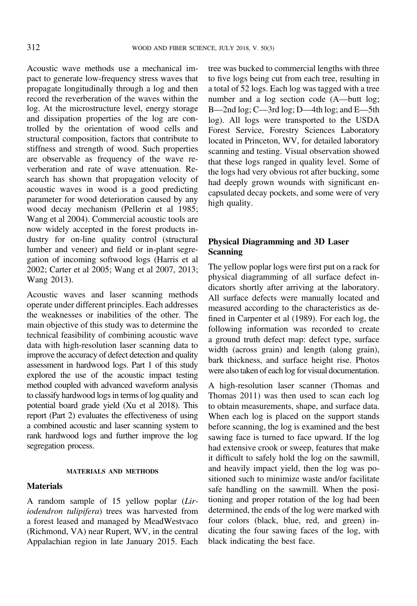Acoustic wave methods use a mechanical impact to generate low-frequency stress waves that propagate longitudinally through a log and then record the reverberation of the waves within the log. At the microstructure level, energy storage and dissipation properties of the log are controlled by the orientation of wood cells and structural composition, factors that contribute to stiffness and strength of wood. Such properties are observable as frequency of the wave reverberation and rate of wave attenuation. Research has shown that propagation velocity of acoustic waves in wood is a good predicting parameter for wood deterioration caused by any wood decay mechanism [\(Pellerin](#page-11-0) et al 1985; [Wang](#page-12-0) et al 2004). Commercial acoustic tools are now widely accepted in the forest products industry for on-line quality control (structural lumber and veneer) and field or in-plant segregation of incoming softwood logs [\(Harris](#page-11-0) et al [2002;](#page-11-0) [Carter](#page-11-0) et al 2005; [Wang](#page-12-0) et al 2007, [2013](#page-12-0); [Wang](#page-12-0) 2013).

Acoustic waves and laser scanning methods operate under different principles. Each addresses the weaknesses or inabilities of the other. The main objective of this study was to determine the technical feasibility of combining acoustic wave data with high-resolution laser scanning data to improve the accuracy of defect detection and quality assessment in hardwood logs. Part 1 of this study explored the use of the acoustic impact testing method coupled with advanced waveform analysis to classify hardwood logs in terms of log quality and potential board grade yield (Xu et al [2018\)](#page-12-0). This report (Part 2) evaluates the effectiveness of using a combined acoustic and laser scanning system to rank hardwood logs and further improve the log segregation process.

#### MATERIALS AND METHODS

### **Materials**

A random sample of 15 yellow poplar (Liriodendron tulipifera) trees was harvested from a forest leased and managed by MeadWestvaco (Richmond, VA) near Rupert, WV, in the central Appalachian region in late January 2015. Each

tree was bucked to commercial lengths with three to five logs being cut from each tree, resulting in a total of 52 logs. Each log was tagged with a tree number and a log section code (A—butt log; B—2nd log; C—3rd log; D—4th log; and E—5th log). All logs were transported to the USDA Forest Service, Forestry Sciences Laboratory located in Princeton, WV, for detailed laboratory scanning and testing. Visual observation showed that these logs ranged in quality level. Some of the logs had very obvious rot after bucking, some had deeply grown wounds with significant encapsulated decay pockets, and some were of very high quality.

# Physical Diagramming and 3D Laser Scanning

The yellow poplar logs were first put on a rack for physical diagramming of all surface defect indicators shortly after arriving at the laboratory. All surface defects were manually located and measured according to the characteristics as defined in [Carpenter](#page-11-0) et al (1989). For each log, the following information was recorded to create a ground truth defect map: defect type, surface width (across grain) and length (along grain), bark thickness, and surface height rise. Photos were also taken of each log for visual documentation.

A high-resolution laser scanner ([Thomas](#page-11-0) and [Thomas](#page-11-0) 2011) was then used to scan each log to obtain measurements, shape, and surface data. When each log is placed on the support stands before scanning, the log is examined and the best sawing face is turned to face upward. If the log had extensive crook or sweep, features that make it difficult to safely hold the log on the sawmill, and heavily impact yield, then the log was positioned such to minimize waste and/or facilitate safe handling on the sawmill. When the positioning and proper rotation of the log had been determined, the ends of the log were marked with four colors (black, blue, red, and green) indicating the four sawing faces of the log, with black indicating the best face.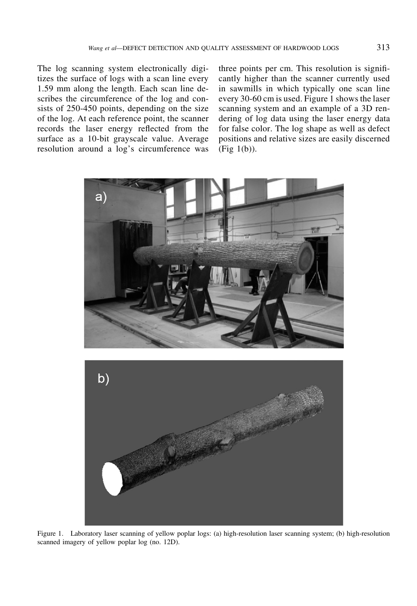<span id="page-3-0"></span>The log scanning system electronically digitizes the surface of logs with a scan line every 1.59 mm along the length. Each scan line describes the circumference of the log and consists of 250-450 points, depending on the size of the log. At each reference point, the scanner records the laser energy reflected from the surface as a 10-bit grayscale value. Average resolution around a log's circumference was three points per cm. This resolution is significantly higher than the scanner currently used in sawmills in which typically one scan line every 30-60 cm is used. Figure 1 shows the laser scanning system and an example of a 3D rendering of log data using the laser energy data for false color. The log shape as well as defect positions and relative sizes are easily discerned (Fig 1(b)).



Figure 1. Laboratory laser scanning of yellow poplar logs: (a) high-resolution laser scanning system; (b) high-resolution scanned imagery of yellow poplar log (no. 12D).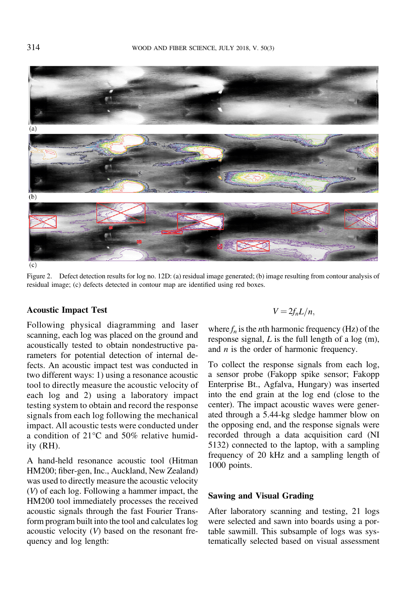<span id="page-4-0"></span>

 $(c)$ 

Figure 2. Defect detection results for log no. 12D: (a) residual image generated; (b) image resulting from contour analysis of residual image; (c) defects detected in contour map are identified using red boxes.

## Acoustic Impact Test

Following physical diagramming and laser scanning, each log was placed on the ground and acoustically tested to obtain nondestructive parameters for potential detection of internal defects. An acoustic impact test was conducted in two different ways: 1) using a resonance acoustic tool to directly measure the acoustic velocity of each log and 2) using a laboratory impact testing system to obtain and record the response signals from each log following the mechanical impact. All acoustic tests were conducted under a condition of 21°C and 50% relative humidity (RH).

A hand-held resonance acoustic tool (Hitman HM200; fiber-gen, Inc., Auckland, New Zealand) was used to directly measure the acoustic velocity (V) of each log. Following a hammer impact, the HM200 tool immediately processes the received acoustic signals through the fast Fourier Transform program built into the tool and calculates log acoustic velocity (V) based on the resonant frequency and log length:

$$
V=2f_nL/n,
$$

where  $f_n$  is the *n*th harmonic frequency (Hz) of the response signal,  $L$  is the full length of a log  $(m)$ , and  $n$  is the order of harmonic frequency.

To collect the response signals from each log, a sensor probe (Fakopp spike sensor; Fakopp Enterprise Bt., Agfalva, Hungary) was inserted into the end grain at the log end (close to the center). The impact acoustic waves were generated through a 5.44-kg sledge hammer blow on the opposing end, and the response signals were recorded through a data acquisition card (NI 5132) connected to the laptop, with a sampling frequency of 20 kHz and a sampling length of 1000 points.

## Sawing and Visual Grading

After laboratory scanning and testing, 21 logs were selected and sawn into boards using a portable sawmill. This subsample of logs was systematically selected based on visual assessment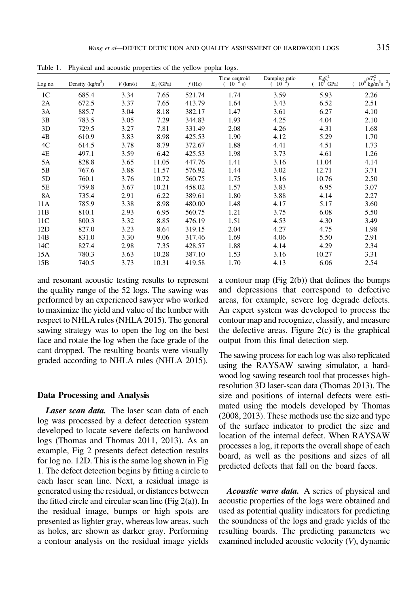| Log no.        | Density $(kg/m3)$ | $V$ (km/s) | $E_{d}$ (GPa) | $f$ (Hz) | Time centroid<br>$10^{-2}$ s) | Damping ratio $(10^{-2})$ | $\frac{E_{\rm d}/\zeta^2}{10^3}$ GPa) | $\rho/T_c^2$<br>$10^6$ kg/m <sup>3</sup> s <sup>2</sup> ) |
|----------------|-------------------|------------|---------------|----------|-------------------------------|---------------------------|---------------------------------------|-----------------------------------------------------------|
| 1 <sup>C</sup> | 685.4             | 3.34       | 7.65          | 521.74   | 1.74                          | 3.59                      | 5.93                                  | 2.26                                                      |
| 2A             | 672.5             | 3.37       | 7.65          | 413.79   | 1.64                          | 3.43                      | 6.52                                  | 2.51                                                      |
| 3A             | 885.7             | 3.04       | 8.18          | 382.17   | 1.47                          | 3.61                      | 6.27                                  | 4.10                                                      |
| 3B             | 783.5             | 3.05       | 7.29          | 344.83   | 1.93                          | 4.25                      | 4.04                                  | 2.10                                                      |
| 3D             | 729.5             | 3.27       | 7.81          | 331.49   | 2.08                          | 4.26                      | 4.31                                  | 1.68                                                      |
| 4B             | 610.9             | 3.83       | 8.98          | 425.53   | 1.90                          | 4.12                      | 5.29                                  | 1.70                                                      |
| 4C             | 614.5             | 3.78       | 8.79          | 372.67   | 1.88                          | 4.41                      | 4.51                                  | 1.73                                                      |
| 4E             | 497.1             | 3.59       | 6.42          | 425.53   | 1.98                          | 3.73                      | 4.61                                  | 1.26                                                      |
| 5A             | 828.8             | 3.65       | 11.05         | 447.76   | 1.41                          | 3.16                      | 11.04                                 | 4.14                                                      |
| 5B             | 767.6             | 3.88       | 11.57         | 576.92   | 1.44                          | 3.02                      | 12.71                                 | 3.71                                                      |
| 5D             | 760.1             | 3.76       | 10.72         | 560.75   | 1.75                          | 3.16                      | 10.76                                 | 2.50                                                      |
| 5E             | 759.8             | 3.67       | 10.21         | 458.02   | 1.57                          | 3.83                      | 6.95                                  | 3.07                                                      |
| 8A             | 735.4             | 2.91       | 6.22          | 389.61   | 1.80                          | 3.88                      | 4.14                                  | 2.27                                                      |
| 11A            | 785.9             | 3.38       | 8.98          | 480.00   | 1.48                          | 4.17                      | 5.17                                  | 3.60                                                      |
| 11B            | 810.1             | 2.93       | 6.95          | 560.75   | 1.21                          | 3.75                      | 6.08                                  | 5.50                                                      |
| 11C            | 800.3             | 3.32       | 8.85          | 476.19   | 1.51                          | 4.53                      | 4.30                                  | 3.49                                                      |
| 12D            | 827.0             | 3.23       | 8.64          | 319.15   | 2.04                          | 4.27                      | 4.75                                  | 1.98                                                      |
| 14B            | 831.0             | 3.30       | 9.06          | 317.46   | 1.69                          | 4.06                      | 5.50                                  | 2.91                                                      |
| 14C            | 827.4             | 2.98       | 7.35          | 428.57   | 1.88                          | 4.14                      | 4.29                                  | 2.34                                                      |
| 15A            | 780.3             | 3.63       | 10.28         | 387.10   | 1.53                          | 3.16                      | 10.27                                 | 3.31                                                      |
| 15B            | 740.5             | 3.73       | 10.31         | 419.58   | 1.70                          | 4.13                      | 6.06                                  | 2.54                                                      |

<span id="page-5-0"></span>Table 1. Physical and acoustic properties of the yellow poplar logs.

and resonant acoustic testing results to represent the quality range of the 52 logs. The sawing was performed by an experienced sawyer who worked to maximize the yield and value of the lumber with respect to NHLA rules ([NHLA](#page-11-0) 2015). The general sawing strategy was to open the log on the best face and rotate the log when the face grade of the cant dropped. The resulting boards were visually graded according to NHLA rules [\(NHLA](#page-11-0) 2015).

#### Data Processing and Analysis

Laser scan data. The laser scan data of each log was processed by a defect detection system developed to locate severe defects on hardwood logs [\(Thomas](#page-11-0) and Thomas 2011, [2013\)](#page-11-0). As an example, [Fig](#page-4-0) 2 presents defect detection results for log no. 12D. This is the same log shown in [Fig](#page-3-0) [1.](#page-3-0) The defect detection begins by fitting a circle to each laser scan line. Next, a residual image is generated using the residual, or distances between the fitted circle and circular scan line (Fig  $2(a)$ ). In the residual image, bumps or high spots are presented as lighter gray, whereas low areas, such as holes, are shown as darker gray. Performing a contour analysis on the residual image yields a contour map (Fig [2\(b\)](#page-4-0)) that defines the bumps and depressions that correspond to defective areas, for example, severe log degrade defects. An expert system was developed to process the contour map and recognize, classify, and measure the defective areas. [Figure](#page-4-0)  $2(c)$  is the graphical output from this final detection step.

The sawing process for each log was also replicated using the RAYSAW sawing simulator, a hardwood log sawing research tool that processes highresolution 3D laser-scan data ([Thomas](#page-11-0) 2013). The size and positions of internal defects were estimated using the models developed by [Thomas](#page-11-0) [\(2008](#page-11-0), [2013\)](#page-11-0). These methods use the size and type of the surface indicator to predict the size and location of the internal defect. When RAYSAW processes a log, it reports the overall shape of each board, as well as the positions and sizes of all predicted defects that fall on the board faces.

Acoustic wave data. A series of physical and acoustic properties of the logs were obtained and used as potential quality indicators for predicting the soundness of the logs and grade yields of the resulting boards. The predicting parameters we examined included acoustic velocity (V), dynamic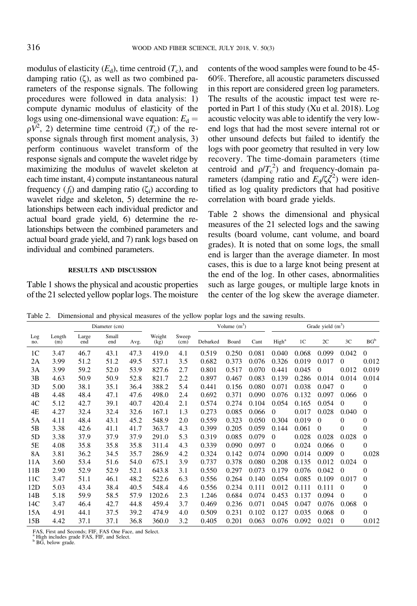<span id="page-6-0"></span>modulus of elasticity  $(E_d)$ , time centroid  $(T_c)$ , and damping ratio (ζ), as well as two combined parameters of the response signals. The following procedures were followed in data analysis: 1) compute dynamic modulus of elasticity of the logs using one-dimensional wave equation:  $E_d$  =  $\rho V^2$ , 2) determine time centroid  $(T_c)$  of the response signals through first moment analysis, 3) perform continuous wavelet transform of the response signals and compute the wavelet ridge by maximizing the modulus of wavelet skeleton at each time instant, 4) compute instantaneous natural frequency ( $f_i$ ) and damping ratio ( $\zeta_i$ ) according to wavelet ridge and skeleton, 5) determine the relationships between each individual predictor and actual board grade yield, 6) determine the relationships between the combined parameters and actual board grade yield, and 7) rank logs based on individual and combined parameters.

#### RESULTS AND DISCUSSION

[Table](#page-5-0) 1 shows the physical and acoustic properties of the 21 selected yellow poplar logs. The moisture

contents of the wood samples were found to be 45- 60%. Therefore, all acoustic parameters discussed in this report are considered green log parameters. The results of the acoustic impact test were reported in Part 1 of this study (Xu et al. [2018](#page-12-0)). Log acoustic velocity was able to identify the very lowend logs that had the most severe internal rot or other unsound defects but failed to identify the logs with poor geometry that resulted in very low recovery. The time-domain parameters (time centroid and  $\rho/T_c^2$ ) and frequency-domain parameters (damping ratio and  $E_d/\zeta \zeta^2$ ) were identified as log quality predictors that had positive correlation with board grade yields.

Table 2 shows the dimensional and physical measures of the 21 selected logs and the sawing results (board volume, cant volume, and board grades). It is noted that on some logs, the small end is larger than the average diameter. In most cases, this is due to a large knot being present at the end of the log. In other cases, abnormalities such as large gouges, or multiple large knots in the center of the log skew the average diameter.

Table 2. Dimensional and physical measures of the yellow poplar logs and the sawing results.

|                |               |              | Diameter (cm) |      |                |               | Volume $(m^3)$ |       |       | Grade yield $(m3)$ |                |          |          |                  |  |
|----------------|---------------|--------------|---------------|------|----------------|---------------|----------------|-------|-------|--------------------|----------------|----------|----------|------------------|--|
| Log<br>no.     | Length<br>(m) | Large<br>end | Small<br>end  | Avg. | Weight<br>(kg) | Sweep<br>(cm) | Debarked       | Board | Cant  | High <sup>a</sup>  | 1 <sup>C</sup> | 2C       | 3C       | $BG^b$           |  |
| 1 <sup>C</sup> | 3.47          | 46.7         | 43.1          | 47.3 | 419.0          | 4.1           | 0.519          | 0.250 | 0.081 | 0.040              | 0.068          | 0.099    | 0.042    | $\Omega$         |  |
| 2A             | 3.99          | 51.2         | 51.2          | 49.5 | 537.1          | 3.5           | 0.682          | 0.373 | 0.076 | 0.326              | 0.019          | 0.017    | $\Omega$ | 0.012            |  |
| 3A             | 3.99          | 59.2         | 52.0          | 53.9 | 827.6          | 2.7           | 0.801          | 0.517 | 0.070 | 0.441              | 0.045          | $\theta$ | 0.012    | 0.019            |  |
| 3B             | 4.63          | 50.9         | 50.9          | 52.8 | 821.7          | 2.2           | 0.897          | 0.467 | 0.083 | 0.139              | 0.286          | 0.014    | 0.014    | 0.014            |  |
| 3D             | 5.00          | 38.1         | 35.1          | 36.4 | 388.2          | 5.4           | 0.441          | 0.156 | 0.080 | 0.071              | 0.038          | 0.047    | $\Omega$ | $\overline{0}$   |  |
| 4B             | 4.48          | 48.4         | 47.1          | 47.6 | 498.0          | 2.4           | 0.692          | 0.371 | 0.090 | 0.076              | 0.132          | 0.097    | 0.066    | $\Omega$         |  |
| 4C             | 5.12          | 42.7         | 39.1          | 40.7 | 420.4          | 2.1           | 0.574          | 0.274 | 0.104 | 0.054              | 0.165          | 0.054    | $\Omega$ | $\mathbf{0}$     |  |
| 4E             | 4.27          | 32.4         | 32.4          | 32.6 | 167.1          | 1.3           | 0.273          | 0.085 | 0.066 | $\Omega$           | 0.017          | 0.028    | 0.040    | $\Omega$         |  |
| 5Α             | 4.11          | 48.4         | 43.1          | 45.2 | 548.9          | 2.0           | 0.559          | 0.323 | 0.050 | 0.304              | 0.019          | $\Omega$ | $\Omega$ | $\mathbf{0}$     |  |
| 5Β             | 3.38          | 42.6         | 41.1          | 41.7 | 363.7          | 4.3           | 0.399          | 0.205 | 0.059 | 0.144              | 0.061          | $\Omega$ | $\Omega$ | $\boldsymbol{0}$ |  |
| 5D             | 3.38          | 37.9         | 37.9          | 37.9 | 291.0          | 5.3           | 0.319          | 0.085 | 0.079 | $\theta$           | 0.028          | 0.028    | 0.028    | $\mathbf{0}$     |  |
| 5E             | 4.08          | 35.8         | 35.8          | 35.8 | 311.4          | 4.3           | 0.339          | 0.090 | 0.097 | $\theta$           | 0.024          | 0.066    | $\Omega$ | $\mathbf{0}$     |  |
| 8A             | 3.81          | 36.2         | 34.5          | 35.7 | 286.9          | 4.2           | 0.324          | 0.142 | 0.074 | 0.090              | 0.014          | 0.009    | $\Omega$ | 0.028            |  |
| 11A            | 3.60          | 53.4         | 51.6          | 54.0 | 675.1          | 3.9           | 0.737          | 0.378 | 0.080 | 0.208              | 0.135          | 0.012    | 0.024    | $\mathbf{0}$     |  |
| 11B            | 2.90          | 52.9         | 52.9          | 52.1 | 643.8          | 3.1           | 0.550          | 0.297 | 0.073 | 0.179              | 0.076          | 0.042    | $\Omega$ | $\theta$         |  |
| 11C            | 3.47          | 51.1         | 46.1          | 48.2 | 522.6          | 6.3           | 0.556          | 0.264 | 0.140 | 0.054              | 0.085          | 0.109    | 0.017    | $\mathbf{0}$     |  |
| 12D            | 5.03          | 43.4         | 38.4          | 40.5 | 548.4          | 4.6           | 0.556          | 0.234 | 0.111 | 0.012              | 0.111          | 0.111    | $\Omega$ | $\mathbf{0}$     |  |
| 14B            | 5.18          | 59.9         | 58.5          | 57.9 | 1202.6         | 2.3           | 1.246          | 0.684 | 0.074 | 0.453              | 0.137          | 0.094    | $\Omega$ | $\mathbf{0}$     |  |
| 14C            | 3.47          | 46.4         | 42.7          | 44.8 | 459.4          | 3.7           | 0.469          | 0.236 | 0.071 | 0.045              | 0.047          | 0.076    | 0.068    | $\Omega$         |  |
| 15A            | 4.91          | 44.1         | 37.5          | 39.2 | 474.9          | 4.0           | 0.509          | 0.231 | 0.102 | 0.127              | 0.035          | 0.068    | $\Omega$ | $\theta$         |  |
| 15B            | 4.42          | 37.1         | 37.1          | 36.8 | 360.0          | 3.2           | 0.405          | 0.201 | 0.063 | 0.076              | 0.092          | 0.021    | $\Omega$ | 0.012            |  |

FAS, First and Seconds; FIF, FAS One Face, and Select. <sup>a</sup> High includes grade FAS, FIF, and Select. b BG, below grade.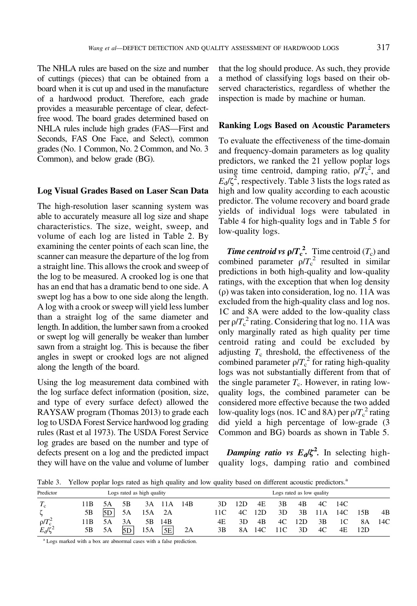<span id="page-7-0"></span>The NHLA rules are based on the size and number of cuttings (pieces) that can be obtained from a board when it is cut up and used in the manufacture of a hardwood product. Therefore, each grade provides a measurable percentage of clear, defectfree wood. The board grades determined based on NHLA rules include high grades (FAS—First and Seconds, FAS One Face, and Select), common grades (No. 1 Common, No. 2 Common, and No. 3 Common), and below grade (BG).

### Log Visual Grades Based on Laser Scan Data

The high-resolution laser scanning system was able to accurately measure all log size and shape characteristics. The size, weight, sweep, and volume of each log are listed in [Table](#page-6-0) 2. By examining the center points of each scan line, the scanner can measure the departure of the log from a straight line. This allows the crook and sweep of the log to be measured. A crooked log is one that has an end that has a dramatic bend to one side. A swept log has a bow to one side along the length. A log with a crook or sweep will yield less lumber than a straight log of the same diameter and length. In addition, the lumber sawn from a crooked or swept log will generally be weaker than lumber sawn from a straight log. This is because the fiber angles in swept or crooked logs are not aligned along the length of the board.

Using the log measurement data combined with the log surface defect information (position, size, and type of every surface defect) allowed the RAYSAW program ([Thomas](#page-11-0) 2013) to grade each log to USDA Forest Service hardwood log grading rules (Rast et al [1973](#page-11-0)). The USDA Forest Service log grades are based on the number and type of defects present on a log and the predicted impact they will have on the value and volume of lumber that the log should produce. As such, they provide a method of classifying logs based on their observed characteristics, regardless of whether the inspection is made by machine or human.

### Ranking Logs Based on Acoustic Parameters

To evaluate the effectiveness of the time-domain and frequency-domain parameters as log quality predictors, we ranked the 21 yellow poplar logs using time centroid, damping ratio,  $\rho/T_c^2$ , and  $E_d/\zeta^2$ , respectively. Table 3 lists the logs rated as high and low quality according to each acoustic predictor. The volume recovery and board grade yields of individual logs were tabulated in [Table](#page-8-0) 4 for high-quality logs and in [Table](#page-8-0) 5 for low-quality logs.

**Time centroid vs**  $\rho/T_c^2$ **.** Time centroid  $(T_c)$  and combined parameter  $\rho/T_c^2$  resulted in similar predictions in both high-quality and low-quality ratings, with the exception that when log density (ρ) was taken into consideration, log no. 11A was excluded from the high-quality class and log nos. 1C and 8A were added to the low-quality class per  $\rho/T_c^2$  rating. Considering that log no. 11A was only marginally rated as high quality per time centroid rating and could be excluded by adjusting  $T_c$  threshold, the effectiveness of the combined parameter  $\rho/T_c^2$  for rating high-quality logs was not substantially different from that of the single parameter  $T_c$ . However, in rating lowquality logs, the combined parameter can be considered more effective because the two added low-quality logs (nos. 1C and 8A) per  $\rho/T_c^2$  rating did yield a high percentage of low-grade (3 Common and BG) boards as shown in [Table](#page-8-0) 5.

Damping ratio vs  $E_d/\zeta^2$ . In selecting highquality logs, damping ratio and combined

Table 3. Yellow poplar logs rated as high quality and low quality based on different acoustic predictors.<sup>a</sup>

| Predictor         |     |    | Logs rated as high quality |     |       |     |     | Logs rated as low quality |     |     |     |      |     |     |     |
|-------------------|-----|----|----------------------------|-----|-------|-----|-----|---------------------------|-----|-----|-----|------|-----|-----|-----|
| $T_c$             | 11B | 5Α | 5В                         | 3A  | ' 1 A | 14B | 3D. | 12D                       | 4E  | 3B  | 4B  | 4C   | 14C |     |     |
| $\epsilon$        | 5Β  | 5D | 5A                         | 15A | 2A    |     | 11C | 4C                        | 12D | 3D  | 3B  | 11 A | 14C | 15B | 4B  |
| $\rho/T_c^2$      | 11B | 5Α | 3A                         | 5В  | 14B   |     | 4E  | 3D                        | 4B  | 4C  | 12D | 3B   | 1C  | 8A  | 14C |
| $E_{\rm d}/\zeta$ | 5В  | 5A | 5D                         | 15A | 5E    | 2A  | 3В  | 8Α                        | 14C | 11C | 3D  | 4C   | 4Ε  | 12D |     |

<sup>a</sup> Logs marked with a box are abnormal cases with a false prediction.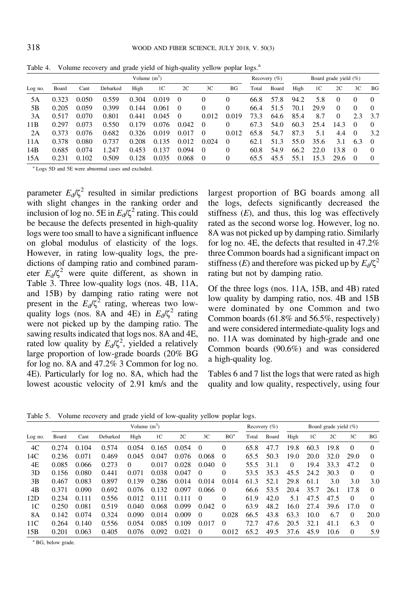|                 |       |       |          | Volume $(m^3)$ |                |          |          |          |       | Recovery $(\%)$ | Board grade yield $(\%)$ |      |          |          |          |
|-----------------|-------|-------|----------|----------------|----------------|----------|----------|----------|-------|-----------------|--------------------------|------|----------|----------|----------|
| Log no.         | Board | Cant  | Debarked | High           | 1 <sup>C</sup> | 2C       | 3C       | BG       | Total | Board           | High                     | 1C   | 2C       | 3C       | BG       |
| 5Α              | 0.323 | 0.050 | 0.559    | 0.304          | 0.019          | $\theta$ |          | 0        | 66.8  | 57.8            | 94.2                     | 5.8  | $\Omega$ | $\Omega$ | 0        |
| 5Β              | 0.205 | 0.059 | 0.399    | 0.144          | 0.061          | $\Omega$ |          | 0        | 66.4  | 51.5            | 70.1                     | 29.9 | $\Omega$ | $\Omega$ | 0        |
| 3A              | 0.517 | 0.070 | 0.801    | 0.441          | 0.045          | $\Omega$ | 0.012    | 0.019    | 73.3  | 64.6            | 85.4                     | 8.7  | $\Omega$ | 2.3      | 3.7      |
| 11 <sub>B</sub> | 0.297 | 0.073 | 0.550    | 0.179          | 0.076          | 0.042    | $\Omega$ | 0        | 67.3  | 54.0            | 60.3                     | 25.4 | 14.3     | $\Omega$ | 0        |
| 2A              | 0.373 | 0.076 | 0.682    | 0.326          | 0.019          | 0.017    | $\Omega$ | 0.012    | 65.8  | 54.7            | 87.3                     | 5.1  | 4.4      | $\theta$ | 3.2      |
| 11A             | 0.378 | 0.080 | 0.737    | 0.208          | 0.135          | 0.012    | 0.024    | $\Omega$ | 62.1  | 51.3            | 55.0                     | 35.6 | 3.1      | 6.3      | $\Omega$ |
| 14B             | 0.685 | 0.074 | 1.247    | 0.453          | 0.137          | 0.094    | $\theta$ | 0        | 60.8  | 54.9            | 66.2                     | 22.0 | 13.8     | $\Omega$ | 0        |
| 15A             | 0.231 | 0.102 | 0.509    | 0.128          | 0.035          | 0.068    | $\Omega$ | 0        | 65.5  | 45.5            | 55.1                     | 15.3 | 29.6     | $\Omega$ | 0        |

<span id="page-8-0"></span>Table 4. Volume recovery and grade yield of high-quality yellow poplar logs.<sup>a</sup>

<sup>a</sup> Logs 5D and 5E were abnormal cases and excluded.

parameter  $E_d/\zeta^2$  resulted in similar predictions with slight changes in the ranking order and inclusion of log no. 5E in  $E_d/\zeta^2$  rating. This could be because the defects presented in high-quality logs were too small to have a significant influence on global modulus of elasticity of the logs. However, in rating low-quality logs, the predictions of damping ratio and combined parameter  $E_d/\zeta^2$  were quite different, as shown in [Table](#page-7-0) 3. Three low-quality logs (nos. 4B, 11A, and 15B) by damping ratio rating were not present in the  $E_d/\zeta^2$  rating, whereas two lowquality logs (nos. 8A and 4E) in  $E_d/\zeta^2$  rating were not picked up by the damping ratio. The sawing results indicated that logs nos. 8A and 4E, rated low quality by  $E_d/\zeta^2$ , yielded a relatively large proportion of low-grade boards (20% BG for log no. 8A and 47.2% 3 Common for log no. 4E). Particularly for log no. 8A, which had the lowest acoustic velocity of 2.91 km/s and the

largest proportion of BG boards among all the logs, defects significantly decreased the stiffness  $(E)$ , and thus, this log was effectively rated as the second worse log. However, log no. 8A was not picked up by damping ratio. Similarly for log no. 4E, the defects that resulted in 47.2% three Common boards had a significant impact on stiffness (E) and therefore was picked up by  $E_d/\zeta^2$ rating but not by damping ratio.

Of the three logs (nos. 11A, 15B, and 4B) rated low quality by damping ratio, nos. 4B and 15B were dominated by one Common and two Common boards (61.8% and 56.5%, respectively) and were considered intermediate-quality logs and no. 11A was dominated by high-grade and one Common boards (90.6%) and was considered a high-quality log.

[Tables](#page-9-0) 6 and [7](#page-9-0) list the logs that were rated as high quality and low quality, respectively, using four

Table 5. Volume recovery and grade yield of low-quality yellow poplar logs.

|                 |       |       |          | Volume $(m^3)$ |                |       |          | Recovery $(\%)$ | Board grade yield $(\%)$ |       |          |                |      |          |          |
|-----------------|-------|-------|----------|----------------|----------------|-------|----------|-----------------|--------------------------|-------|----------|----------------|------|----------|----------|
| Log no.         | Board | Cant  | Debarked | High           | 1 <sup>C</sup> | 2C    | 3C       | BG <sup>a</sup> | Total                    | Board | High     | 1 <sup>C</sup> | 2C   | 3C       | BG       |
| 4C              | 0.274 | 0.104 | 0.574    | 0.054          | 0.165          | 0.054 | 0        | 0               | 65.8                     | 47.7  | 19.8     | 60.3           | 19.8 | $\theta$ | 0        |
| 14C             | 0.236 | 0.071 | 0.469    | 0.045          | 0.047          | 0.076 | 0.068    | $\Omega$        | 65.5                     | 50.3  | 19.0     | 20.0           | 32.0 | 29.0     | $\Omega$ |
| 4E              | 0.085 | 0.066 | 0.273    | $\Omega$       | 0.017          | 0.028 | 0.040    | $\left($        | 55.5                     | 31.1  | $\Omega$ | 19.4           | 33.3 | 47.2     | $\Omega$ |
| 3D              | 0.156 | 0.080 | 0.441    | 0.071          | 0.038          | 0.047 | $\Omega$ | 0               | 53.5                     | 35.3  | 45.5     | 24.2           | 30.3 | $\theta$ | 0        |
| 3B              | 0.467 | 0.083 | 0.897    | 0.139          | 0.286          | 0.014 | 0.014    | 0.014           | 61.3                     | 52.1  | 29.8     | 61.1           | 3.0  | 3.0      | 3.0      |
| 4B              | 0.371 | 0.090 | 0.692    | 0.076          | 0.132          | 0.097 | 0.066    | $\Omega$        | 66.6                     | 53.5  | 20.4     | 35.7           | 26.1 | 17.8     | $\Omega$ |
| 12D             | 0.234 | 0.111 | 0.556    | 0.012          | 0.111          | 0.111 | $\theta$ | 0               | 61.9                     | 42.0  | 5.1      | 47.5           | 47.5 | 0        | 0        |
| 1 <sup>C</sup>  | 0.250 | 0.081 | 0.519    | 0.040          | 0.068          | 0.099 | 0.042    | $\theta$        | 63.9                     | 48.2  | 16.0     | 27.4           | 39.6 | 17.0     | $\Omega$ |
| 8A              | 0.142 | 0.074 | 0.324    | 0.090          | 0.014          | 0.009 | $\Omega$ | 0.028           | 66.5                     | 43.8  | 63.3     | 10.0           | 6.7  | 0        | 20.0     |
| 11 <sup>C</sup> | 0.264 | 0.140 | 0.556    | 0.054          | 0.085          | 0.109 | 0.017    | $\Omega$        | 72.7                     | 47.6  | 20.5     | 32.1           | 41.1 | 6.3      | 0        |
| 15B             | 0.201 | 0.063 | 0.405    | 0.076          | 0.092          | 0.021 | $\theta$ | 0.012           | 65.2                     | 49.5  | 37.6     | 45.9           | 10.6 | $\Omega$ | 5.9      |

<sup>a</sup> BG, below grade.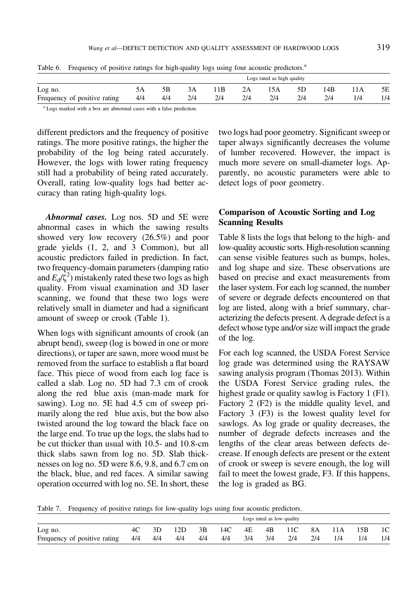<span id="page-9-0"></span>

|  | Table 6. Frequency of positive ratings for high-quality logs using four acoustic predictors. <sup>a</sup> |  |
|--|-----------------------------------------------------------------------------------------------------------|--|
|  | Logs rated as high quality                                                                                |  |

|                              |     |     |     |     |     | Logs rated as high quality |     |     |     |     |
|------------------------------|-----|-----|-----|-----|-----|----------------------------|-----|-----|-----|-----|
| Log no.                      |     |     |     | 1 B | 2A  | 15A                        | 5D  | 14B | 11A | 5Ε  |
| Frequency of positive rating | 4/4 | 4/4 | 2/4 | 214 | 2/4 | 214                        | 2/4 | 2/4 | 1/4 | 1/4 |
|                              |     |     |     |     |     |                            |     |     |     |     |

<sup>a</sup> Logs marked with a box are abnormal cases with a false prediction.

different predictors and the frequency of positive ratings. The more positive ratings, the higher the probability of the log being rated accurately. However, the logs with lower rating frequency still had a probability of being rated accurately. Overall, rating low-quality logs had better accuracy than rating high-quality logs.

Abnormal cases. Log nos. 5D and 5E were abnormal cases in which the sawing results showed very low recovery (26.5%) and poor grade yields (1, 2, and 3 Common), but all acoustic predictors failed in prediction. In fact, two frequency-domain parameters(damping ratio and  $E_d/\zeta^2$ ) mistakenly rated these two logs as high quality. From visual examination and 3D laser scanning, we found that these two logs were relatively small in diameter and had a significant amount of sweep or crook [\(Table](#page-5-0) 1).

 along the red blue axis (man-made mark for marily along the red blue axis, but the bow also When logs with significant amounts of crook (an abrupt bend), sweep (log is bowed in one or more directions), or taper are sawn, more wood must be removed from the surface to establish a flat board face. This piece of wood from each log face is called a slab. Log no. 5D had 7.3 cm of crook sawing). Log no. 5E had 4.5 cm of sweep pritwisted around the log toward the black face on the large end. To true up the logs, the slabs had to be cut thicker than usual with 10.5- and 10.8-cm thick slabs sawn from log no. 5D. Slab thicknesses on log no. 5D were 8.6, 9.8, and 6.7 cm on the black, blue, and red faces. A similar sawing operation occurred with log no. 5E. In short, these

two logs had poor geometry. Significant sweep or taper always significantly decreases the volume of lumber recovered. However, the impact is much more severe on small-diameter logs. Apparently, no acoustic parameters were able to detect logs of poor geometry.

## Comparison of Acoustic Sorting and Log Scanning Results

[Table](#page-10-0) 8 lists the logs that belong to the high- and low-quality acoustic sorts. High-resolution scanning can sense visible features such as bumps, holes, and log shape and size. These observations are based on precise and exact measurements from the laser system. For each log scanned, the number of severe or degrade defects encountered on that log are listed, along with a brief summary, characterizing the defects present. A degrade defect is a defect whose type and/or size will impact the grade of the log.

For each log scanned, the USDA Forest Service log grade was determined using the RAYSAW sawing analysis program ([Thomas](#page-11-0) 2013). Within the USDA Forest Service grading rules, the highest grade or quality sawlog is Factory 1 (F1). Factory 2 (F2) is the middle quality level, and Factory 3 (F3) is the lowest quality level for sawlogs. As log grade or quality decreases, the number of degrade defects increases and the lengths of the clear areas between defects decrease. If enough defects are present or the extent of crook or sweep is severe enough, the log will fail to meet the lowest grade, F3. If this happens, the log is graded as BG.

Table 7. Frequency of positive ratings for low-quality logs using four acoustic predictors.

|                              |      |     |     |     |     |     |     | Logs rated as low quality |     |     |     |                |
|------------------------------|------|-----|-----|-----|-----|-----|-----|---------------------------|-----|-----|-----|----------------|
| Log no.                      | 4C – | 3D  | 12D | 3В. | 14C | 4E  |     | 4B 11C                    | 8A  | 11A | 15B | 1 <sup>C</sup> |
| Frequency of positive rating | 4/4  | 4/4 | 4/4 | 4/4 | 4/4 | 3/4 | 3/4 | 2/4                       | 2/4 | 1/4 | 1/4 | 1/4            |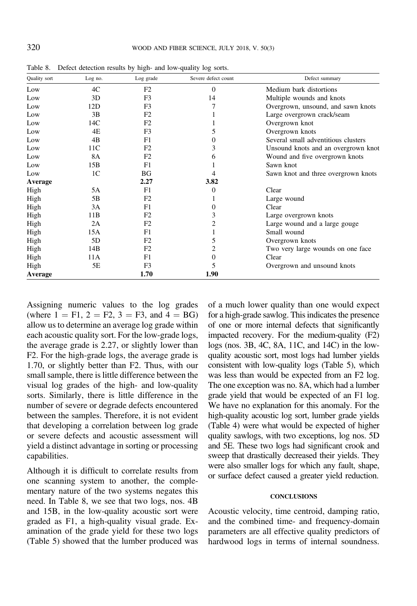| Quality sort | Log no.        | Log grade      | Severe defect count | Defect summary                      |
|--------------|----------------|----------------|---------------------|-------------------------------------|
| Low          | 4C             | F <sub>2</sub> | $\Omega$            | Medium bark distortions             |
| Low          | 3D             | F3             | 14                  | Multiple wounds and knots           |
| Low          | 12D            | F3             |                     | Overgrown, unsound, and sawn knots  |
| Low          | 3B             | F2             |                     | Large overgrown crack/seam          |
| Low          | 14C            | F2             |                     | Overgrown knot                      |
| Low          | 4Ε             | F3             |                     | Overgrown knots                     |
| Low          | 4 <sub>B</sub> | F1             | 0                   | Several small adventitious clusters |
| Low          | 11C            | F2             | 3                   | Unsound knots and an overgrown knot |
| Low          | 8A             | F <sub>2</sub> | h.                  | Wound and five overgrown knots      |
| Low          | 15B            | F1             |                     | Sawn knot                           |
| Low          | 1C             | BG             |                     | Sawn knot and three overgrown knots |
| Average      |                | 2.27           | 3.82                |                                     |
| High         | 5A             | F1             | 0                   | Clear                               |
| High         | 5B             | F2             |                     | Large wound                         |
| High         | 3A             | F1             | 0                   | Clear                               |
| High         | 11B            | F2             | 3                   | Large overgrown knots               |
| High         | 2A             | F2             | 2                   | Large wound and a large gouge       |
| High         | 15A            | F1             |                     | Small wound                         |
| High         | 5D             | F <sub>2</sub> |                     | Overgrown knots                     |
| High         | 14B            | F <sub>2</sub> |                     | Two very large wounds on one face   |
| High         | 11A            | F1             | 0                   | Clear                               |
| High         | 5Ε             | F3             |                     | Overgrown and unsound knots         |
| Average      |                | 1.70           | 1.90                |                                     |

<span id="page-10-0"></span>Table 8. Defect detection results by high- and low-quality log sorts.

Assigning numeric values to the log grades (where  $1 = F1$ ,  $2 = F2$ ,  $3 = F3$ , and  $4 = BG$ ) allow us to determine an average log grade within each acoustic quality sort. For the low-grade logs, the average grade is 2.27, or slightly lower than F2. For the high-grade logs, the average grade is 1.70, or slightly better than F2. Thus, with our small sample, there is little difference between the visual log grades of the high- and low-quality sorts. Similarly, there is little difference in the number of severe or degrade defects encountered between the samples. Therefore, it is not evident that developing a correlation between log grade or severe defects and acoustic assessment will yield a distinct advantage in sorting or processing capabilities.

Although it is difficult to correlate results from one scanning system to another, the complementary nature of the two systems negates this need. In Table 8, we see that two logs, nos. 4B and 15B, in the low-quality acoustic sort were graded as F1, a high-quality visual grade. Examination of the grade yield for these two logs [\(Table](#page-8-0) 5) showed that the lumber produced was

of a much lower quality than one would expect for a high-grade sawlog. This indicates the presence of one or more internal defects that significantly impacted recovery. For the medium-quality (F2) logs (nos. 3B, 4C, 8A, 11C, and 14C) in the lowquality acoustic sort, most logs had lumber yields consistent with low-quality logs [\(Table](#page-8-0) 5), which was less than would be expected from an F2 log. The one exception was no. 8A, which had a lumber grade yield that would be expected of an F1 log. We have no explanation for this anomaly. For the high-quality acoustic log sort, lumber grade yields [\(Table](#page-8-0) 4) were what would be expected of higher quality sawlogs, with two exceptions, log nos. 5D and 5E. These two logs had significant crook and sweep that drastically decreased their yields. They were also smaller logs for which any fault, shape, or surface defect caused a greater yield reduction.

### **CONCLUSIONS**

Acoustic velocity, time centroid, damping ratio, and the combined time- and frequency-domain parameters are all effective quality predictors of hardwood logs in terms of internal soundness.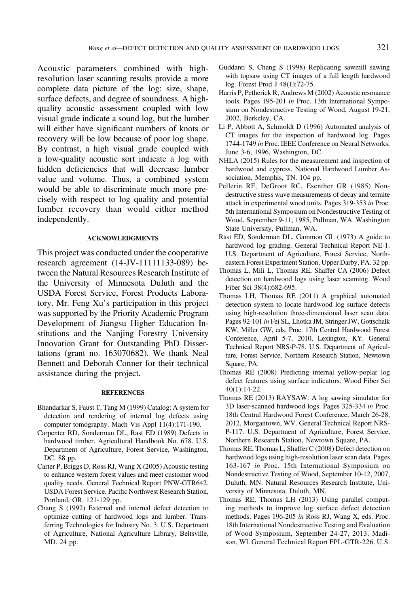<span id="page-11-0"></span>Acoustic parameters combined with highresolution laser scanning results provide a more complete data picture of the log: size, shape, surface defects, and degree of soundness. A highquality acoustic assessment coupled with low visual grade indicate a sound log, but the lumber will either have significant numbers of knots or recovery will be low because of poor log shape. By contrast, a high visual grade coupled with a low-quality acoustic sort indicate a log with hidden deficiencies that will decrease lumber value and volume. Thus, a combined system would be able to discriminate much more precisely with respect to log quality and potential lumber recovery than would either method independently.

#### ACKNOWLEDGMENTS

This project was conducted under the cooperative research agreement (14-JV-11111133-089) between the Natural Resources Research Institute of the University of Minnesota Duluth and the USDA Forest Service, Forest Products Laboratory. Mr. Feng Xu's participation in this project was supported by the Priority Academic Program Development of Jiangsu Higher Education Institutions and the Nanjing Forestry University Innovation Grant for Outstanding PhD Dissertations (grant no. 163070682). We thank Neal Bennett and Deborah Conner for their technical assistance during the project.

#### **REFERENCES**

- Bhandarkar S, Faust T, Tang M (1999) Catalog: A system for detection and rendering of internal log defects using computer tomography. Mach Vis Appl 11(4):171-190.
- Carpenter RD, Sonderman DL, Rast ED (1989) Defects in hardwood timber. Agricultural Handbook No. 678. U.S. Department of Agriculture, Forest Service, Washington, DC. 88 pp.
- Carter P, Briggs D, Ross RJ, Wang X (2005) Acoustic testing to enhance western forest values and meet customer wood quality needs. General Technical Report PNW-GTR642. USDA Forest Service, Pacific Northwest Research Station, Portland, OR. 121-129 pp.
- Chang S (1992) External and internal defect detection to optimize cutting of hardwood logs and lumber. Transferring Technologies for Industry No. 3. U.S. Department of Agriculture, National Agriculture Library, Beltsville, MD. 24 pp.
- Guddanti S, Chang S (1998) Replicating sawmill sawing with topsaw using CT images of a full length hardwood log. Forest Prod J 48(1):72-75.
- Harris P, Petherick R, Andrews M (2002) Acoustic resonance tools. Pages 195-201 in Proc. 13th International Symposium on Nondestructive Testing of Wood, August 19-21, 2002, Berkeley, CA.
- Li P, Abbott A, Schmoldt D (1996) Automated analysis of CT images for the inspection of hardwood log. Pages 1744-1749 in Proc. IEEE Conference on Neural Networks, June 3-6, 1996, Washington, DC.
- NHLA (2015) Rules for the measurement and inspection of hardwood and cypress. National Hardwood Lumber Association, Memphis, TN. 104 pp.
- Pellerin RF, DeGroot RC, Esenther GR (1985) Nondestructive stress wave measurements of decay and termite attack in experimental wood units. Pages 319-353 in Proc. 5th International Symposium on Nondestructive Testing of Wood, September 9-11, 1985, Pullman, WA. Washington State University, Pullman, WA.
- Rast ED, Sonderman DL, Gammon GL (1973) A guide to hardwood log grading. General Technical Report NE-1. U.S. Department of Agriculture, Forest Service, Northeastern Forest Experiment Station, Upper Darby, PA. 32 pp.
- Thomas L, Mili L, Thomas RE, Shaffer CA (2006) Defect detection on hardwood logs using laser scanning. Wood Fiber Sci 38(4):682-695.
- Thomas LH, Thomas RE (2011) A graphical automated detection system to locate hardwood log surface defects using high-resolution three-dimensional laser scan data. Pages 92-101 in Fei SL, Lhotka JM, Stringer JW, Gottschalk KW, Miller GW, eds. Proc. 17th Central Hardwood Forest Conference, April 5-7, 2010, Lexington, KY. General Technical Report NRS-P-78. U.S. Department of Agriculture, Forest Service, Northern Research Station, Newtown Square, PA.
- Thomas RE (2008) Predicting internal yellow-poplar log defect features using surface indicators. Wood Fiber Sci 40(1):14-22.
- Thomas RE (2013) RAYSAW: A log sawing simulator for 3D laser-scanned hardwood logs. Pages 325-334 in Proc. 18th Central Hardwood Forest Conference, March 26-28, 2012, Morgantown, WV. General Technical Report NRS-P-117. U.S. Department of Agriculture, Forest Service, Northern Research Station, Newtown Square, PA.
- Thomas RE, Thomas L, Shaffer C (2008) Defect detection on hardwood logs using high-resolution laser scan data. Pages 163-167 in Proc. 15th International Symposium on Nondestructive Testing of Wood, September 10-12, 2007, Duluth, MN. Natural Resources Research Institute, University of Minnesota, Duluth, MN.
- Thomas RE, Thomas LH (2013) Using parallel computing methods to improve log surface defect detection methods. Pages 196-205 in Ross RJ, Wang X, eds. Proc. 18th International Nondestructive Testing and Evaluation of Wood Symposium, September 24-27, 2013, Madison, WI. General Technical Report FPL-GTR-226. U.S.